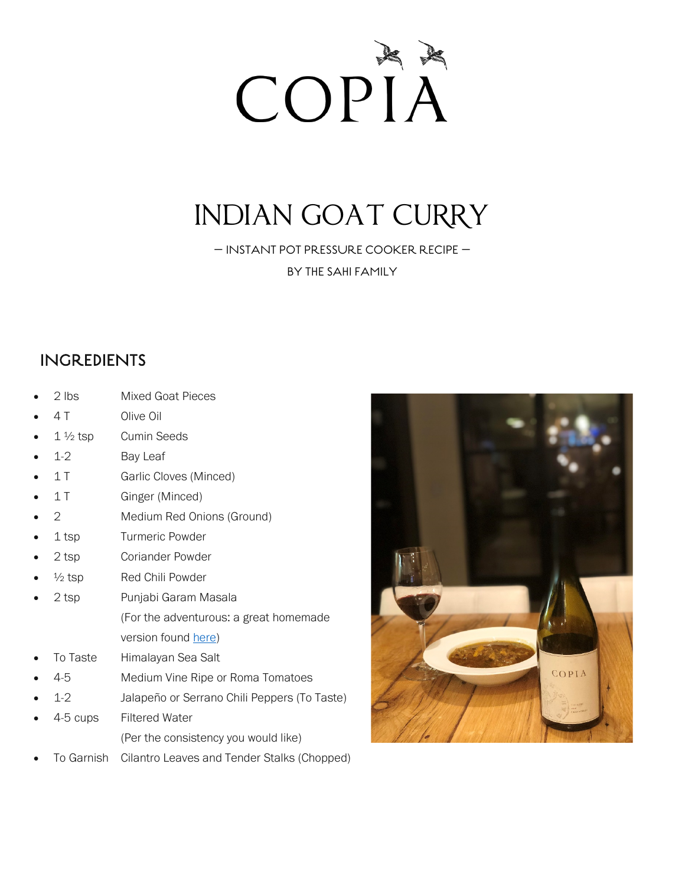

# INDIAN GOAT CURRY

— INSTANT POT PRESSURE COOKER RECIPE —

BY THE SAHI FAMILY

#### INGREDIENTS

- 2 lbs Mixed Goat Pieces
- 4 T Olive Oil
- $1\frac{1}{2}$  tsp Cumin Seeds
- 1-2 **Bay Leaf**
- 1 T Garlic Cloves (Minced)
- 1 T Ginger (Minced)
- 2 Medium Red Onions (Ground)
- 1 tsp Turmeric Powder
- 2 tsp **Coriander Powder**
- $\frac{1}{2}$  tsp Red Chili Powder
- 2 tsp Punjabi Garam Masala (For the adventurous: a great homemade version found [here\)](about:blank)
- To Taste Himalayan Sea Salt
- 4-5 Medium Vine Ripe or Roma Tomatoes
- 1-2 Jalapeño or Serrano Chili Peppers (To Taste)
- 4-5 cups Filtered Water (Per the consistency you would like)
- To Garnish Cilantro Leaves and Tender Stalks (Chopped)